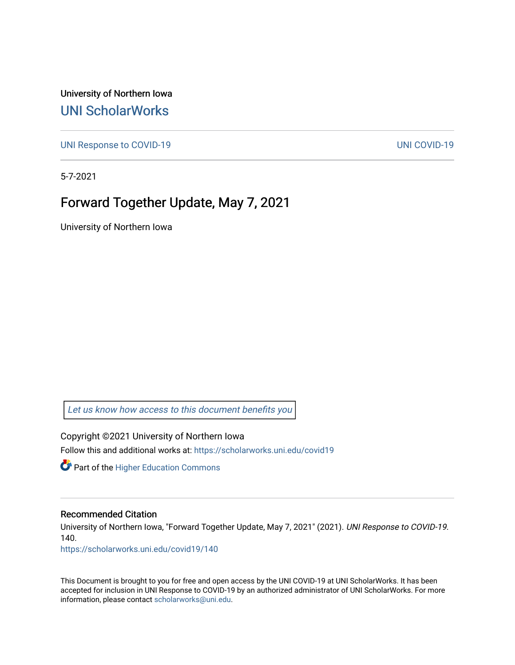University of Northern Iowa [UNI ScholarWorks](https://scholarworks.uni.edu/) 

[UNI Response to COVID-19](https://scholarworks.uni.edu/covid19) [UNI COVID-19](https://scholarworks.uni.edu/covid) 

5-7-2021

## Forward Together Update, May 7, 2021

University of Northern Iowa

[Let us know how access to this document benefits you](https://scholarworks.uni.edu/feedback_form.html) 

Copyright ©2021 University of Northern Iowa Follow this and additional works at: [https://scholarworks.uni.edu/covid19](https://scholarworks.uni.edu/covid19?utm_source=scholarworks.uni.edu%2Fcovid19%2F140&utm_medium=PDF&utm_campaign=PDFCoverPages)

**Part of the Higher Education Commons** 

#### Recommended Citation

University of Northern Iowa, "Forward Together Update, May 7, 2021" (2021). UNI Response to COVID-19. 140.

[https://scholarworks.uni.edu/covid19/140](https://scholarworks.uni.edu/covid19/140?utm_source=scholarworks.uni.edu%2Fcovid19%2F140&utm_medium=PDF&utm_campaign=PDFCoverPages)

This Document is brought to you for free and open access by the UNI COVID-19 at UNI ScholarWorks. It has been accepted for inclusion in UNI Response to COVID-19 by an authorized administrator of UNI ScholarWorks. For more information, please contact [scholarworks@uni.edu.](mailto:scholarworks@uni.edu)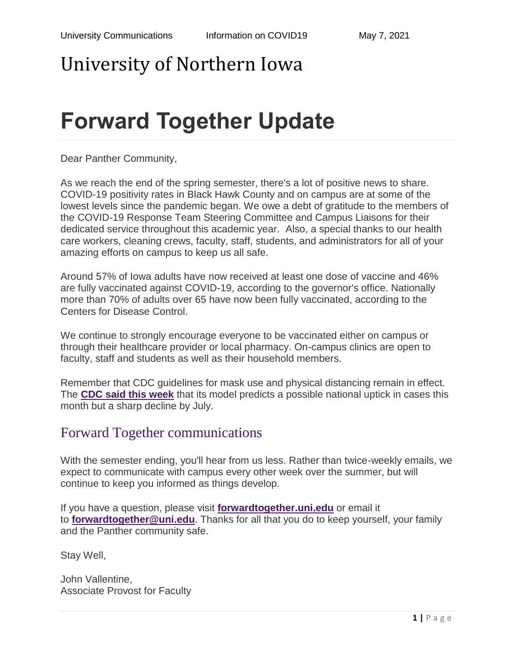# University of Northern Iowa

# **Forward Together Update**

Dear Panther Community,

As we reach the end of the spring semester, there's a lot of positive news to share. COVID-19 positivity rates in Black Hawk County and on campus are at some of the lowest levels since the pandemic began. We owe a debt of gratitude to the members of the COVID-19 Response Team Steering Committee and Campus Liaisons for their dedicated service throughout this academic year. Also, a special thanks to our health care workers, cleaning crews, faculty, staff, students, and administrators for all of your amazing efforts on campus to keep us all safe.

Around 57% of Iowa adults have now received at least one dose of vaccine and 46% are fully vaccinated against COVID-19, according to the governor's office. Nationally more than 70% of adults over 65 have now been fully vaccinated, according to the Centers for Disease Control.

We continue to strongly encourage everyone to be vaccinated either on campus or through their healthcare provider or local pharmacy. On-campus clinics are open to faculty, staff and students as well as their household members.

Remember that CDC guidelines for mask use and physical distancing remain in effect. The **[CDC said this week](https://www.cdc.gov/mmwr/volumes/70/wr/mm7019e3.htm?s_cid=mm7019e3_w#F1_down)** that its model predicts a possible national uptick in cases this month but a sharp decline by July.

### Forward Together communications

With the semester ending, you'll hear from us less. Rather than twice-weekly emails, we expect to communicate with campus every other week over the summer, but will continue to keep you informed as things develop.

If you have a question, please visit **[forwardtogether.uni.edu](https://forwardtogether.uni.edu/)** or email it to **[forwardtogether@uni.edu](mailto:forwardtogether@uni.edu)**. Thanks for all that you do to keep yourself, your family and the Panther community safe.

Stay Well,

John Vallentine, Associate Provost for Faculty